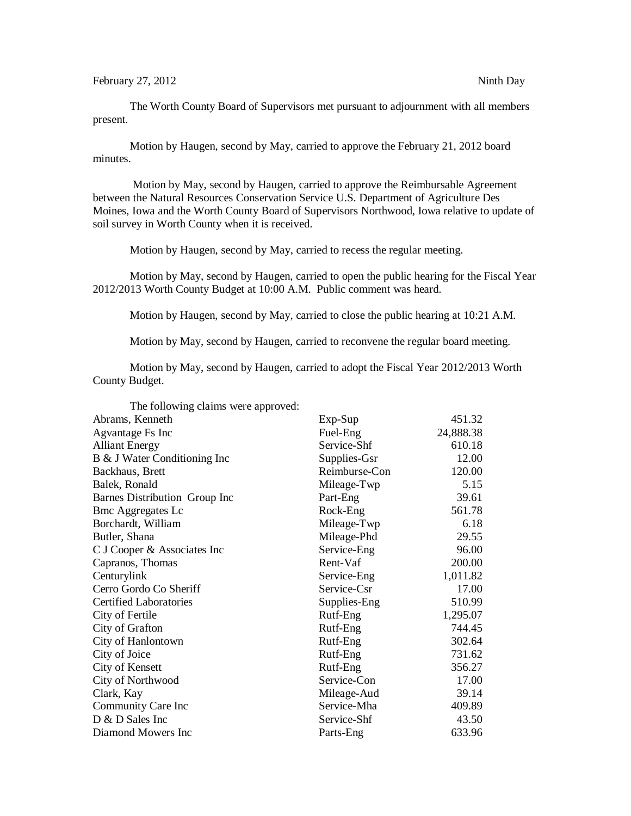The Worth County Board of Supervisors met pursuant to adjournment with all members present.

Motion by Haugen, second by May, carried to approve the February 21, 2012 board minutes.

Motion by May, second by Haugen, carried to approve the Reimbursable Agreement between the Natural Resources Conservation Service U.S. Department of Agriculture Des Moines, Iowa and the Worth County Board of Supervisors Northwood, Iowa relative to update of soil survey in Worth County when it is received.

Motion by Haugen, second by May, carried to recess the regular meeting.

Motion by May, second by Haugen, carried to open the public hearing for the Fiscal Year 2012/2013 Worth County Budget at 10:00 A.M. Public comment was heard.

Motion by Haugen, second by May, carried to close the public hearing at 10:21 A.M.

Motion by May, second by Haugen, carried to reconvene the regular board meeting.

Motion by May, second by Haugen, carried to adopt the Fiscal Year 2012/2013 Worth County Budget.

| The following claims were approved: |               |           |
|-------------------------------------|---------------|-----------|
| Abrams, Kenneth                     | $Exp-Sup$     | 451.32    |
| <b>Agvantage Fs Inc</b>             | Fuel-Eng      | 24,888.38 |
| <b>Alliant Energy</b>               | Service-Shf   | 610.18    |
| B & J Water Conditioning Inc        | Supplies-Gsr  | 12.00     |
| Backhaus, Brett                     | Reimburse-Con | 120.00    |
| Balek, Ronald                       | Mileage-Twp   | 5.15      |
| Barnes Distribution Group Inc       | Part-Eng      | 39.61     |
| <b>Bmc Aggregates Lc</b>            | Rock-Eng      | 561.78    |
| Borchardt, William                  | Mileage-Twp   | 6.18      |
| Butler, Shana                       | Mileage-Phd   | 29.55     |
| C J Cooper & Associates Inc         | Service-Eng   | 96.00     |
| Capranos, Thomas                    | Rent-Vaf      | 200.00    |
| Centurylink                         | Service-Eng   | 1,011.82  |
| Cerro Gordo Co Sheriff              | Service-Csr   | 17.00     |
| <b>Certified Laboratories</b>       | Supplies-Eng  | 510.99    |
| City of Fertile                     | Rutf-Eng      | 1,295.07  |
| City of Grafton                     | Rutf-Eng      | 744.45    |
| City of Hanlontown                  | Rutf-Eng      | 302.64    |
| City of Joice                       | Rutf-Eng      | 731.62    |
| City of Kensett                     | Rutf-Eng      | 356.27    |
| City of Northwood                   | Service-Con   | 17.00     |
| Clark, Kay                          | Mileage-Aud   | 39.14     |
| Community Care Inc                  | Service-Mha   | 409.89    |
| D & D Sales Inc                     | Service-Shf   | 43.50     |
| Diamond Mowers Inc                  | Parts-Eng     | 633.96    |

The following claims were approved: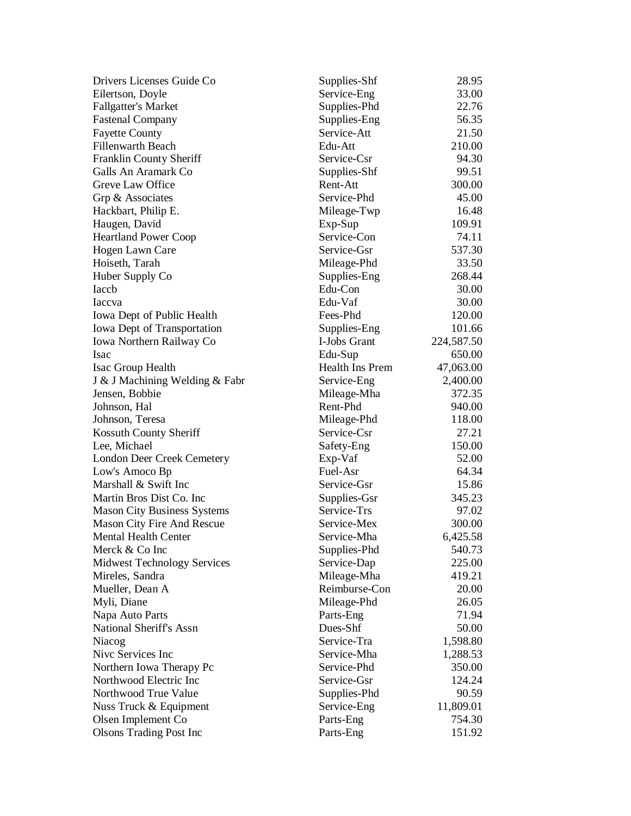| Drivers Licenses Guide Co               | Supplies-Shf               | 28.95      |
|-----------------------------------------|----------------------------|------------|
| Eilertson, Doyle                        | Service-Eng                | 33.00      |
| <b>Fallgatter's Market</b>              | Supplies-Phd               | 22.76      |
| <b>Fastenal Company</b>                 | Supplies-Eng               | 56.35      |
| <b>Fayette County</b>                   | Service-Att                | 21.50      |
| <b>Fillenwarth Beach</b>                | Edu-Att                    | 210.00     |
| Franklin County Sheriff                 | Service-Csr                | 94.30      |
| Galls An Aramark Co                     | Supplies-Shf               | 99.51      |
| Greve Law Office                        | Rent-Att                   | 300.00     |
| Grp & Associates                        | Service-Phd                | 45.00      |
| Hackbart, Philip E.                     | Mileage-Twp                | 16.48      |
| Haugen, David                           | $Exp-Sup$                  | 109.91     |
| <b>Heartland Power Coop</b>             | Service-Con                | 74.11      |
| Hogen Lawn Care                         | Service-Gsr                | 537.30     |
| Hoiseth, Tarah                          | Mileage-Phd                | 33.50      |
| Huber Supply Co                         | Supplies-Eng               | 268.44     |
| Iaccb                                   | Edu-Con                    | 30.00      |
| Iaccva                                  | Edu-Vaf                    | 30.00      |
| Iowa Dept of Public Health              | Fees-Phd                   | 120.00     |
| Iowa Dept of Transportation             | Supplies-Eng               | 101.66     |
|                                         | I-Jobs Grant               | 224,587.50 |
| Iowa Northern Railway Co<br><b>Isac</b> |                            | 650.00     |
|                                         | Edu-Sup<br>Health Ins Prem |            |
| Isac Group Health                       |                            | 47,063.00  |
| J & J Machining Welding & Fabr          | Service-Eng                | 2,400.00   |
| Jensen, Bobbie                          | Mileage-Mha                | 372.35     |
| Johnson, Hal                            | Rent-Phd                   | 940.00     |
| Johnson, Teresa                         | Mileage-Phd                | 118.00     |
| Kossuth County Sheriff                  | Service-Csr                | 27.21      |
| Lee, Michael                            | Safety-Eng                 | 150.00     |
| London Deer Creek Cemetery              | Exp-Vaf                    | 52.00      |
| Low's Amoco Bp                          | Fuel-Asr                   | 64.34      |
| Marshall & Swift Inc                    | Service-Gsr                | 15.86      |
| Martin Bros Dist Co. Inc.               | Supplies-Gsr               | 345.23     |
| <b>Mason City Business Systems</b>      | Service-Trs                | 97.02      |
| <b>Mason City Fire And Rescue</b>       | Service-Mex                | 300.00     |
| Mental Health Center                    | Service-Mha                | 6,425.58   |
| Merck & Co Inc                          | Supplies-Phd               | 540.73     |
| <b>Midwest Technology Services</b>      | Service-Dap                | 225.00     |
| Mireles, Sandra                         | Mileage-Mha                | 419.21     |
| Mueller, Dean A                         | Reimburse-Con              | 20.00      |
| Myli, Diane                             | Mileage-Phd                | 26.05      |
| Napa Auto Parts                         | Parts-Eng                  | 71.94      |
| National Sheriff's Assn                 | Dues-Shf                   | 50.00      |
| Niacog                                  | Service-Tra                | 1,598.80   |
| Nive Services Inc                       | Service-Mha                | 1,288.53   |
| Northern Iowa Therapy Pc                | Service-Phd                | 350.00     |
| Northwood Electric Inc                  | Service-Gsr                | 124.24     |
| Northwood True Value                    | Supplies-Phd               | 90.59      |
| Nuss Truck & Equipment                  | Service-Eng                | 11,809.01  |
| Olsen Implement Co                      | Parts-Eng                  | 754.30     |
| <b>Olsons Trading Post Inc</b>          | Parts-Eng                  | 151.92     |